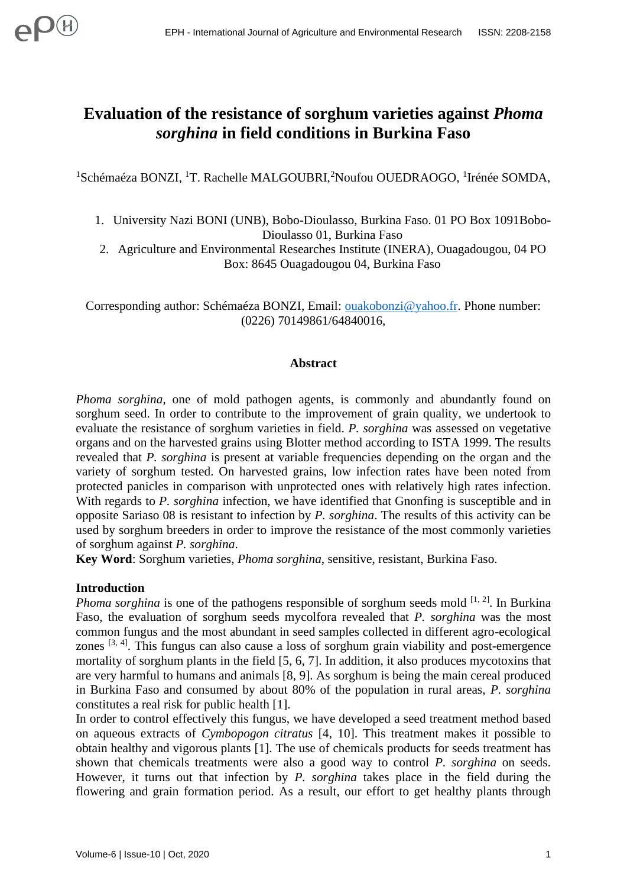# **Evaluation of the resistance of sorghum varieties against** *Phoma sorghina* **in field conditions in Burkina Faso**

<sup>1</sup>Schémaéza BONZI, <sup>1</sup>T. Rachelle MALGOUBRI,<sup>2</sup>Noufou OUEDRAOGO, <sup>1</sup>Irénée SOMDA,

- 1. University Nazi BONI (UNB), Bobo-Dioulasso, Burkina Faso. 01 PO Box 1091Bobo-Dioulasso 01, Burkina Faso
- 2. Agriculture and Environmental Researches Institute (INERA), Ouagadougou, 04 PO Box: 8645 Ouagadougou 04, Burkina Faso

Corresponding author: Schémaéza BONZI, Email: [ouakobonzi@yahoo.fr.](mailto:ouakobonzi@yahoo.fr) Phone number: (0226) 70149861/64840016,

#### **Abstract**

*Phoma sorghina*, one of mold pathogen agents, is commonly and abundantly found on sorghum seed. In order to contribute to the improvement of grain quality, we undertook to evaluate the resistance of sorghum varieties in field. *P. sorghina* was assessed on vegetative organs and on the harvested grains using Blotter method according to ISTA 1999. The results revealed that *P. sorghina* is present at variable frequencies depending on the organ and the variety of sorghum tested. On harvested grains, low infection rates have been noted from protected panicles in comparison with unprotected ones with relatively high rates infection. With regards to *P. sorghina* infection, we have identified that Gnonfing is susceptible and in opposite Sariaso 08 is resistant to infection by *P. sorghina*. The results of this activity can be used by sorghum breeders in order to improve the resistance of the most commonly varieties of sorghum against *P. sorghina*.

**Key Word**: Sorghum varieties, *Phoma sorghina*, sensitive, resistant, Burkina Faso.

# **Introduction**

*Phoma sorghina* is one of the pathogens responsible of sorghum seeds mold <sup>[1, 2]</sup>. In Burkina Faso, the evaluation of sorghum seeds mycolfora revealed that *P. sorghina* was the most common fungus and the most abundant in seed samples collected in different agro-ecological zones  $[3, 4]$ . This fungus can also cause a loss of sorghum grain viability and post-emergence mortality of sorghum plants in the field [5, 6, 7]. In addition, it also produces mycotoxins that are very harmful to humans and animals [8, 9]. As sorghum is being the main cereal produced in Burkina Faso and consumed by about 80% of the population in rural areas, *P. sorghina* constitutes a real risk for public health [1].

In order to control effectively this fungus, we have developed a seed treatment method based on aqueous extracts of *Cymbopogon citratus* [4, 10]. This treatment makes it possible to obtain healthy and vigorous plants [1]. The use of chemicals products for seeds treatment has shown that chemicals treatments were also a good way to control *P. sorghina* on seeds. However, it turns out that infection by *P. sorghina* takes place in the field during the flowering and grain formation period. As a result, our effort to get healthy plants through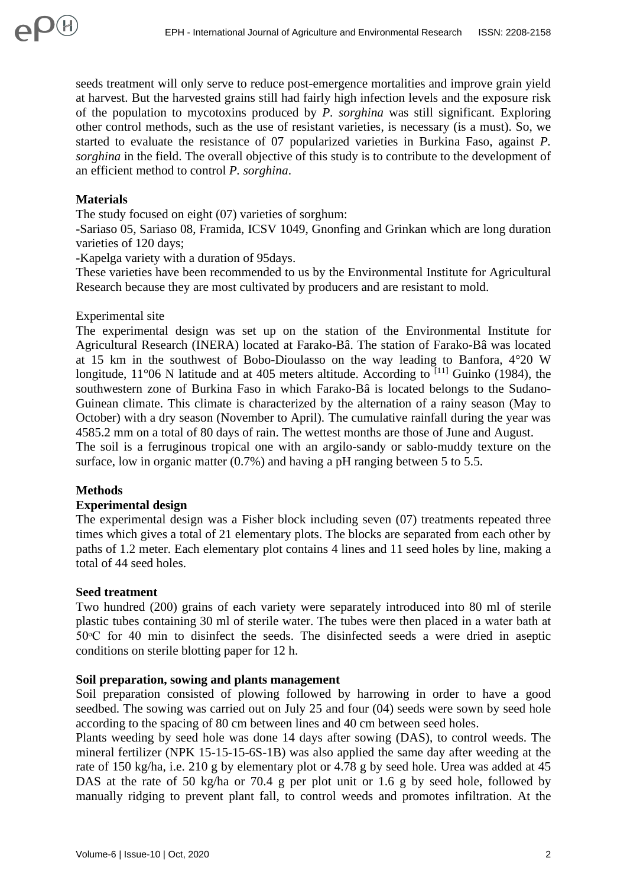seeds treatment will only serve to reduce post-emergence mortalities and improve grain yield at harvest. But the harvested grains still had fairly high infection levels and the exposure risk of the population to mycotoxins produced by *P. sorghina* was still significant. Exploring other control methods, such as the use of resistant varieties, is necessary (is a must). So, we started to evaluate the resistance of 07 popularized varieties in Burkina Faso, against *P. sorghina* in the field. The overall objective of this study is to contribute to the development of an efficient method to control *P. sorghina*.

# **Materials**

 $\mathbf{D}(\mathsf{H})$ 

The study focused on eight (07) varieties of sorghum:

-Sariaso 05, Sariaso 08, Framida, ICSV 1049, Gnonfing and Grinkan which are long duration varieties of 120 days;

-Kapelga variety with a duration of 95days.

These varieties have been recommended to us by the Environmental Institute for Agricultural Research because they are most cultivated by producers and are resistant to mold.

# Experimental site

The experimental design was set up on the station of the Environmental Institute for Agricultural Research (INERA) located at Farako-Bâ. The station of Farako-Bâ was located at 15 km in the southwest of Bobo-Dioulasso on the way leading to Banfora, 4°20 W longitude,  $11^{\circ}06$  N latitude and at 405 meters altitude. According to  $^{[11]}$  Guinko (1984), the southwestern zone of Burkina Faso in which Farako-Bâ is located belongs to the Sudano-Guinean climate. This climate is characterized by the alternation of a rainy season (May to October) with a dry season (November to April). The cumulative rainfall during the year was 4585.2 mm on a total of 80 days of rain. The wettest months are those of June and August.

The soil is a ferruginous tropical one with an argilo-sandy or sablo-muddy texture on the surface, low in organic matter (0.7%) and having a pH ranging between 5 to 5.5.

# **Methods**

# **Experimental design**

The experimental design was a Fisher block including seven (07) treatments repeated three times which gives a total of 21 elementary plots. The blocks are separated from each other by paths of 1.2 meter. Each elementary plot contains 4 lines and 11 seed holes by line, making a total of 44 seed holes.

#### **Seed treatment**

Two hundred (200) grains of each variety were separately introduced into 80 ml of sterile plastic tubes containing 30 ml of sterile water. The tubes were then placed in a water bath at 50ᵒC for 40 min to disinfect the seeds. The disinfected seeds a were dried in aseptic conditions on sterile blotting paper for 12 h.

#### **Soil preparation, sowing and plants management**

Soil preparation consisted of plowing followed by harrowing in order to have a good seedbed. The sowing was carried out on July 25 and four (04) seeds were sown by seed hole according to the spacing of 80 cm between lines and 40 cm between seed holes.

Plants weeding by seed hole was done 14 days after sowing (DAS), to control weeds. The mineral fertilizer (NPK 15-15-15-6S-1B) was also applied the same day after weeding at the rate of 150 kg/ha, i.e. 210 g by elementary plot or 4.78 g by seed hole. Urea was added at 45 DAS at the rate of 50 kg/ha or 70.4 g per plot unit or 1.6 g by seed hole, followed by manually ridging to prevent plant fall, to control weeds and promotes infiltration. At the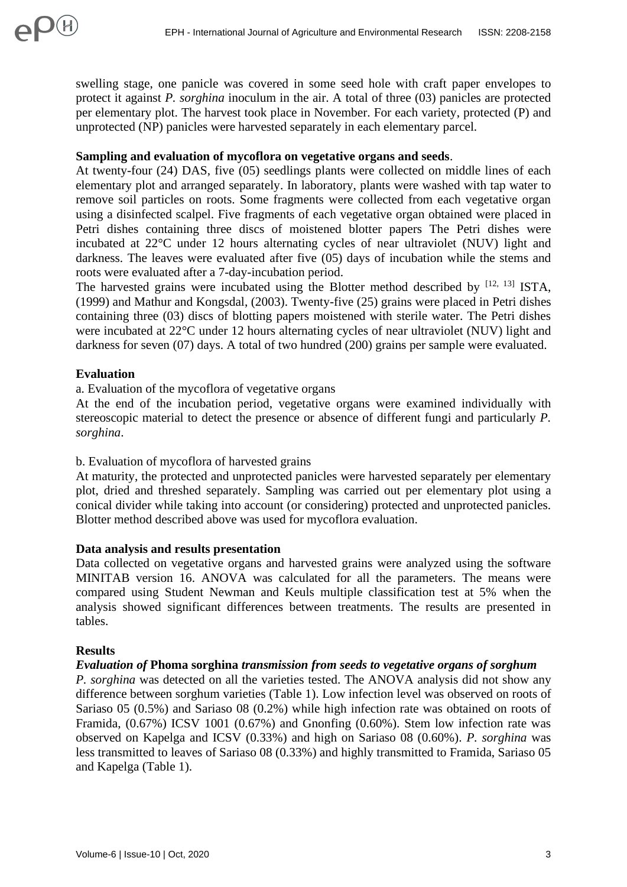swelling stage, one panicle was covered in some seed hole with craft paper envelopes to protect it against *P. sorghina* inoculum in the air. A total of three (03) panicles are protected per elementary plot. The harvest took place in November. For each variety, protected (P) and unprotected (NP) panicles were harvested separately in each elementary parcel.

# **Sampling and evaluation of mycoflora on vegetative organs and seeds**.

At twenty-four (24) DAS, five (05) seedlings plants were collected on middle lines of each elementary plot and arranged separately. In laboratory, plants were washed with tap water to remove soil particles on roots. Some fragments were collected from each vegetative organ using a disinfected scalpel. Five fragments of each vegetative organ obtained were placed in Petri dishes containing three discs of moistened blotter papers The Petri dishes were incubated at 22°C under 12 hours alternating cycles of near ultraviolet (NUV) light and darkness. The leaves were evaluated after five (05) days of incubation while the stems and roots were evaluated after a 7-day-incubation period.

The harvested grains were incubated using the Blotter method described by  $[12, 13]$  ISTA, (1999) and Mathur and Kongsdal, (2003). Twenty-five (25) grains were placed in Petri dishes containing three (03) discs of blotting papers moistened with sterile water. The Petri dishes were incubated at 22°C under 12 hours alternating cycles of near ultraviolet (NUV) light and darkness for seven (07) days. A total of two hundred (200) grains per sample were evaluated.

# **Evaluation**

a. Evaluation of the mycoflora of vegetative organs

At the end of the incubation period, vegetative organs were examined individually with stereoscopic material to detect the presence or absence of different fungi and particularly *P. sorghina*.

# b. Evaluation of mycoflora of harvested grains

At maturity, the protected and unprotected panicles were harvested separately per elementary plot, dried and threshed separately. Sampling was carried out per elementary plot using a conical divider while taking into account (or considering) protected and unprotected panicles. Blotter method described above was used for mycoflora evaluation.

# **Data analysis and results presentation**

Data collected on vegetative organs and harvested grains were analyzed using the software MINITAB version 16. ANOVA was calculated for all the parameters. The means were compared using Student Newman and Keuls multiple classification test at 5% when the analysis showed significant differences between treatments. The results are presented in tables.

# **Results**

# *Evaluation of* **Phoma sorghina** *transmission from seeds to vegetative organs of sorghum*

*P. sorghina* was detected on all the varieties tested. The ANOVA analysis did not show any difference between sorghum varieties (Table 1). Low infection level was observed on roots of Sariaso 05 (0.5%) and Sariaso 08 (0.2%) while high infection rate was obtained on roots of Framida, (0.67%) ICSV 1001 (0.67%) and Gnonfing (0.60%). Stem low infection rate was observed on Kapelga and ICSV (0.33%) and high on Sariaso 08 (0.60%). *P. sorghina* was less transmitted to leaves of Sariaso 08 (0.33%) and highly transmitted to Framida, Sariaso 05 and Kapelga (Table 1).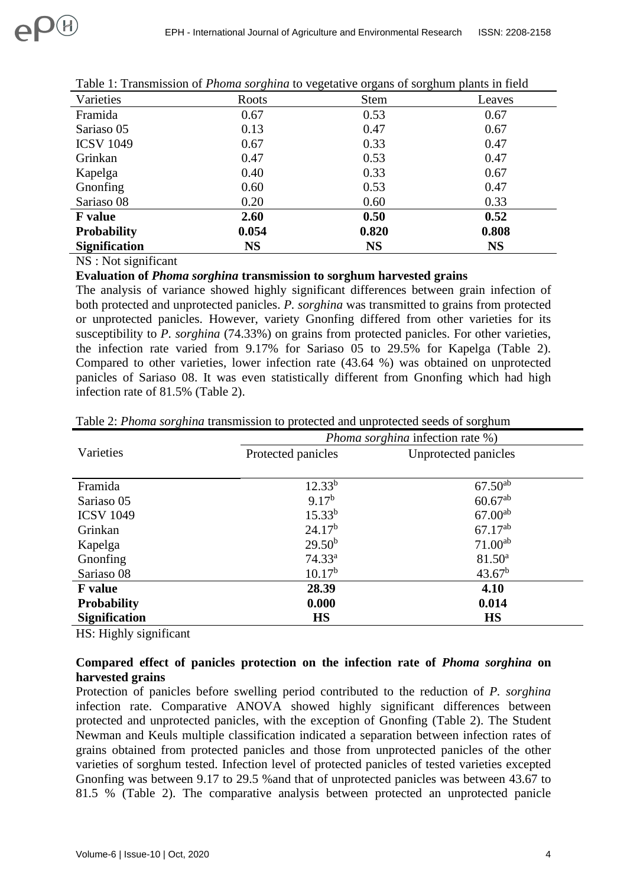| Varieties            | Roots     | <b>Stem</b> | Leaves    |
|----------------------|-----------|-------------|-----------|
| Framida              | 0.67      | 0.53        | 0.67      |
| Sariaso 05           | 0.13      | 0.47        | 0.67      |
| <b>ICSV 1049</b>     | 0.67      | 0.33        | 0.47      |
| Grinkan              | 0.47      | 0.53        | 0.47      |
| Kapelga              | 0.40      | 0.33        | 0.67      |
| Gnonfing             | 0.60      | 0.53        | 0.47      |
| Sariaso 08           | 0.20      | 0.60        | 0.33      |
| <b>F</b> value       | 2.60      | 0.50        | 0.52      |
| <b>Probability</b>   | 0.054     | 0.820       | 0.808     |
| <b>Signification</b> | <b>NS</b> | <b>NS</b>   | <b>NS</b> |

|  | Table 1: Transmission of <i>Phoma sorghina</i> to vegetative organs of sorghum plants in field |  |  |  |  |
|--|------------------------------------------------------------------------------------------------|--|--|--|--|
|  |                                                                                                |  |  |  |  |

NS : Not significant

 $\Omega$ 

#### **Evaluation of** *Phoma sorghina* **transmission to sorghum harvested grains**

The analysis of variance showed highly significant differences between grain infection of both protected and unprotected panicles. *P. sorghina* was transmitted to grains from protected or unprotected panicles. However, variety Gnonfing differed from other varieties for its susceptibility to *P. sorghina* (74.33%) on grains from protected panicles. For other varieties, the infection rate varied from 9.17% for Sariaso 05 to 29.5% for Kapelga (Table 2). Compared to other varieties, lower infection rate (43.64 %) was obtained on unprotected panicles of Sariaso 08. It was even statistically different from Gnonfing which had high infection rate of 81.5% (Table 2).

|                       | <i>Phoma sorghina</i> infection rate %) |                      |  |
|-----------------------|-----------------------------------------|----------------------|--|
| Varieties             | Protected panicles                      | Unprotected panicles |  |
|                       |                                         |                      |  |
| Framida               | $12.33^{b}$                             | $67.50^{ab}$         |  |
| Sariaso 05            | $9.17^{b}$                              | $60.67^{ab}$         |  |
| <b>ICSV 1049</b>      | $15.33^{b}$                             | $67.00^{ab}$         |  |
| Grinkan               | 24.17 <sup>b</sup>                      | $67.17^{ab}$         |  |
| Kapelga               | $29.50^{b}$                             | $71.00^{ab}$         |  |
| Gnonfing              | 74.33 <sup>a</sup>                      | $81.50^a$            |  |
| Sariaso <sub>08</sub> | $10.17^{b}$                             | 43.67 <sup>b</sup>   |  |
| <b>F</b> value        | 28.39                                   | 4.10                 |  |
| <b>Probability</b>    | 0.000                                   | 0.014                |  |
| <b>Signification</b>  | <b>HS</b>                               | <b>HS</b>            |  |

Table 2: *Phoma sorghina* transmission to protected and unprotected seeds of sorghum

HS: Highly significant

# **Compared effect of panicles protection on the infection rate of** *Phoma sorghina* **on harvested grains**

Protection of panicles before swelling period contributed to the reduction of *P. sorghina* infection rate. Comparative ANOVA showed highly significant differences between protected and unprotected panicles, with the exception of Gnonfing (Table 2). The Student Newman and Keuls multiple classification indicated a separation between infection rates of grains obtained from protected panicles and those from unprotected panicles of the other varieties of sorghum tested. Infection level of protected panicles of tested varieties excepted Gnonfing was between 9.17 to 29.5 %and that of unprotected panicles was between 43.67 to 81.5 % (Table 2). The comparative analysis between protected an unprotected panicle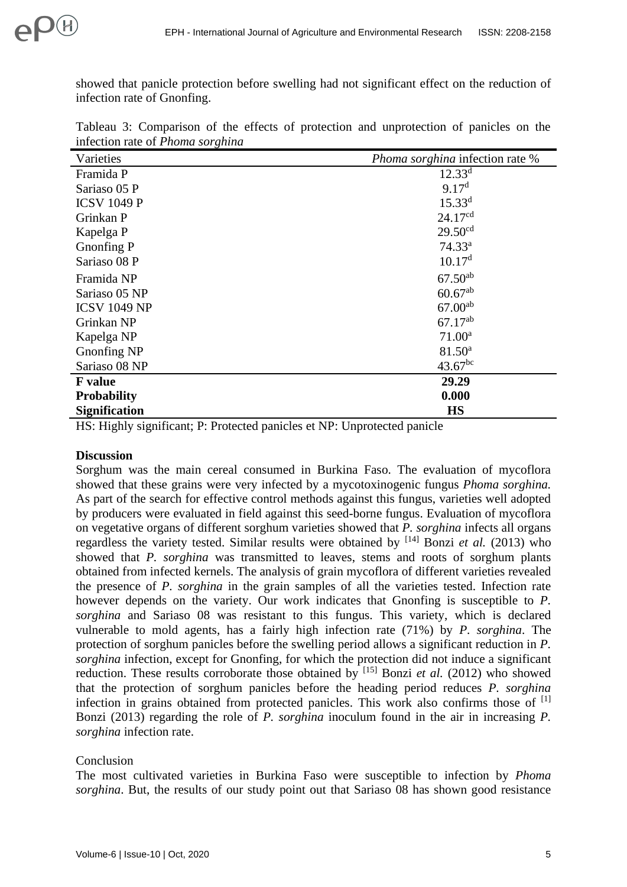showed that panicle protection before swelling had not significant effect on the reduction of infection rate of Gnonfing.

| Varieties            | Phoma sorghina infection rate % |
|----------------------|---------------------------------|
| Framida P            | $12.33^{d}$                     |
| Sariaso 05 P         | 9.17 <sup>d</sup>               |
| <b>ICSV 1049 P</b>   | $15.33^{d}$                     |
| Grinkan P            | 24.17 <sup>cd</sup>             |
| Kapelga P            | 29.50 <sup>cd</sup>             |
| Gnonfing P           | $74.33^a$                       |
| Sariaso 08 P         | 10.17 <sup>d</sup>              |
| Framida NP           | $67.50^{ab}$                    |
| Sariaso 05 NP        | $60.67^{ab}$                    |
| <b>ICSV 1049 NP</b>  | $67.00^{ab}$                    |
| Grinkan NP           | $67.17^{ab}$                    |
| Kapelga NP           | 71.00 <sup>a</sup>              |
| Gnonfing NP          | $81.50^{\circ}$                 |
| Sariaso 08 NP        | $43.67^{bc}$                    |
| <b>F</b> value       | 29.29                           |
| <b>Probability</b>   | 0.000                           |
| <b>Signification</b> | <b>HS</b>                       |

Tableau 3: Comparison of the effects of protection and unprotection of panicles on the infection rate of *Phoma sorghina*

HS: Highly significant; P: Protected panicles et NP: Unprotected panicle

# **Discussion**

Sorghum was the main cereal consumed in Burkina Faso. The evaluation of mycoflora showed that these grains were very infected by a mycotoxinogenic fungus *Phoma sorghina.* As part of the search for effective control methods against this fungus, varieties well adopted by producers were evaluated in field against this seed-borne fungus. Evaluation of mycoflora on vegetative organs of different sorghum varieties showed that *P. sorghina* infects all organs regardless the variety tested. Similar results were obtained by <sup>[14]</sup> Bonzi *et al.* (2013) who showed that *P. sorghina* was transmitted to leaves, stems and roots of sorghum plants obtained from infected kernels. The analysis of grain mycoflora of different varieties revealed the presence of *P. sorghina* in the grain samples of all the varieties tested. Infection rate however depends on the variety. Our work indicates that Gnonfing is susceptible to *P. sorghina* and Sariaso 08 was resistant to this fungus. This variety, which is declared vulnerable to mold agents, has a fairly high infection rate (71%) by *P. sorghina*. The protection of sorghum panicles before the swelling period allows a significant reduction in *P. sorghina* infection, except for Gnonfing, for which the protection did not induce a significant reduction. These results corroborate those obtained by [15] Bonzi *et al.* (2012) who showed that the protection of sorghum panicles before the heading period reduces *P. sorghina* infection in grains obtained from protected panicles. This work also confirms those of  $[1]$ Bonzi (2013) regarding the role of *P. sorghina* inoculum found in the air in increasing *P. sorghina* infection rate.

# Conclusion

The most cultivated varieties in Burkina Faso were susceptible to infection by *Phoma sorghina*. But, the results of our study point out that Sariaso 08 has shown good resistance